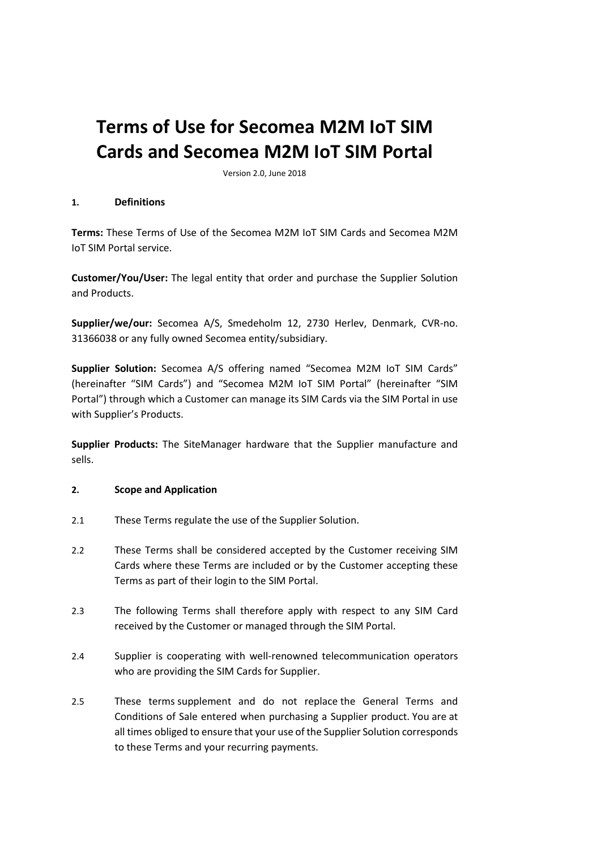# **Terms of Use for Secomea M2M IoT SIM Cards and Secomea M2M IoT SIM Portal**

Version 2.0, June 2018

### **1. Definitions**

**Terms:** These Terms of Use of the Secomea M2M IoT SIM Cards and Secomea M2M IoT SIM Portal service.

**Customer/You/User:** The legal entity that order and purchase the Supplier Solution and Products.

**Supplier/we/our:** Secomea A/S, Smedeholm 12, 2730 Herlev, Denmark, CVR-no. 31366038 or any fully owned Secomea entity/subsidiary.

**Supplier Solution:** Secomea A/S offering named "Secomea M2M IoT SIM Cards" (hereinafter "SIM Cards") and "Secomea M2M IoT SIM Portal" (hereinafter "SIM Portal") through which a Customer can manage its SIM Cards via the SIM Portal in use with Supplier's Products.

**Supplier Products:** The SiteManager hardware that the Supplier manufacture and sells.

## **2. Scope and Application**

- 2.1 These Terms regulate the use of the Supplier Solution.
- 2.2 These Terms shall be considered accepted by the Customer receiving SIM Cards where these Terms are included or by the Customer accepting these Terms as part of their login to the SIM Portal.
- 2.3 The following Terms shall therefore apply with respect to any SIM Card received by the Customer or managed through the SIM Portal.
- 2.4 Supplier is cooperating with well-renowned telecommunication operators who are providing the SIM Cards for Supplier.
- 2.5 These terms supplement and do not replace the General Terms and Conditions of Sale entered when purchasing a Supplier product. You are at all times obliged to ensure that your use of the Supplier Solution corresponds to these Terms and your recurring payments.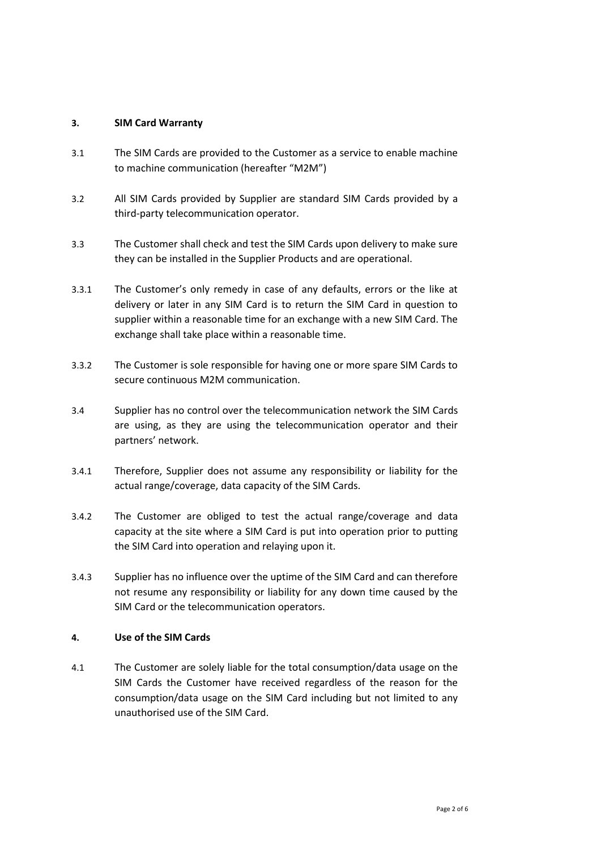### **3. SIM Card Warranty**

- 3.1 The SIM Cards are provided to the Customer as a service to enable machine to machine communication (hereafter "M2M")
- 3.2 All SIM Cards provided by Supplier are standard SIM Cards provided by a third-party telecommunication operator.
- 3.3 The Customer shall check and test the SIM Cards upon delivery to make sure they can be installed in the Supplier Products and are operational.
- 3.3.1 The Customer's only remedy in case of any defaults, errors or the like at delivery or later in any SIM Card is to return the SIM Card in question to supplier within a reasonable time for an exchange with a new SIM Card. The exchange shall take place within a reasonable time.
- 3.3.2 The Customer is sole responsible for having one or more spare SIM Cards to secure continuous M2M communication.
- 3.4 Supplier has no control over the telecommunication network the SIM Cards are using, as they are using the telecommunication operator and their partners' network.
- 3.4.1 Therefore, Supplier does not assume any responsibility or liability for the actual range/coverage, data capacity of the SIM Cards.
- 3.4.2 The Customer are obliged to test the actual range/coverage and data capacity at the site where a SIM Card is put into operation prior to putting the SIM Card into operation and relaying upon it.
- 3.4.3 Supplier has no influence over the uptime of the SIM Card and can therefore not resume any responsibility or liability for any down time caused by the SIM Card or the telecommunication operators.

### **4. Use of the SIM Cards**

4.1 The Customer are solely liable for the total consumption/data usage on the SIM Cards the Customer have received regardless of the reason for the consumption/data usage on the SIM Card including but not limited to any unauthorised use of the SIM Card.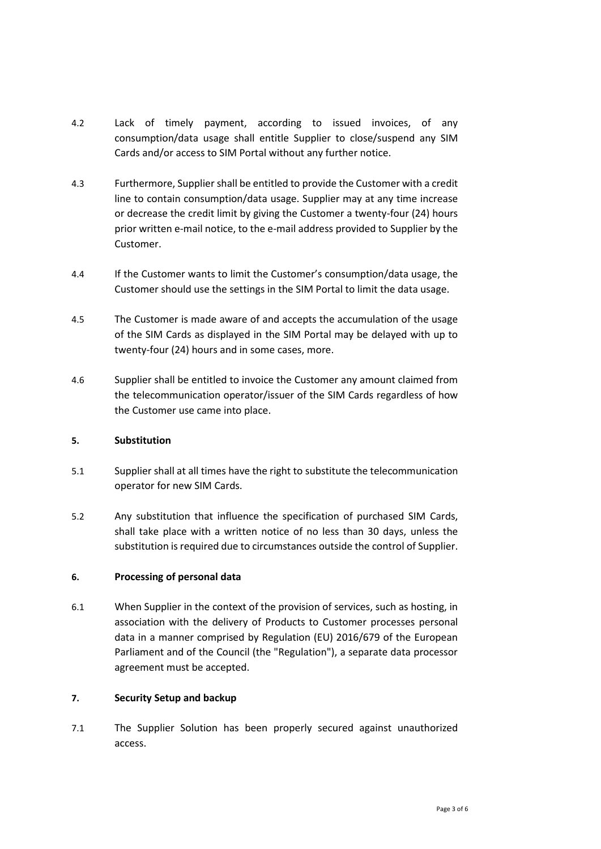- 4.2 Lack of timely payment, according to issued invoices, of any consumption/data usage shall entitle Supplier to close/suspend any SIM Cards and/or access to SIM Portal without any further notice.
- 4.3 Furthermore, Supplier shall be entitled to provide the Customer with a credit line to contain consumption/data usage. Supplier may at any time increase or decrease the credit limit by giving the Customer a twenty-four (24) hours prior written e-mail notice, to the e-mail address provided to Supplier by the Customer.
- 4.4 If the Customer wants to limit the Customer's consumption/data usage, the Customer should use the settings in the SIM Portal to limit the data usage.
- 4.5 The Customer is made aware of and accepts the accumulation of the usage of the SIM Cards as displayed in the SIM Portal may be delayed with up to twenty-four (24) hours and in some cases, more.
- 4.6 Supplier shall be entitled to invoice the Customer any amount claimed from the telecommunication operator/issuer of the SIM Cards regardless of how the Customer use came into place.

## **5. Substitution**

- 5.1 Supplier shall at all times have the right to substitute the telecommunication operator for new SIM Cards.
- 5.2 Any substitution that influence the specification of purchased SIM Cards, shall take place with a written notice of no less than 30 days, unless the substitution is required due to circumstances outside the control of Supplier.

# **6. Processing of personal data**

6.1 When Supplier in the context of the provision of services, such as hosting, in association with the delivery of Products to Customer processes personal data in a manner comprised by Regulation (EU) 2016/679 of the European Parliament and of the Council (the "Regulation"), a separate data processor agreement must be accepted.

## **7. Security Setup and backup**

7.1 The Supplier Solution has been properly secured against unauthorized access.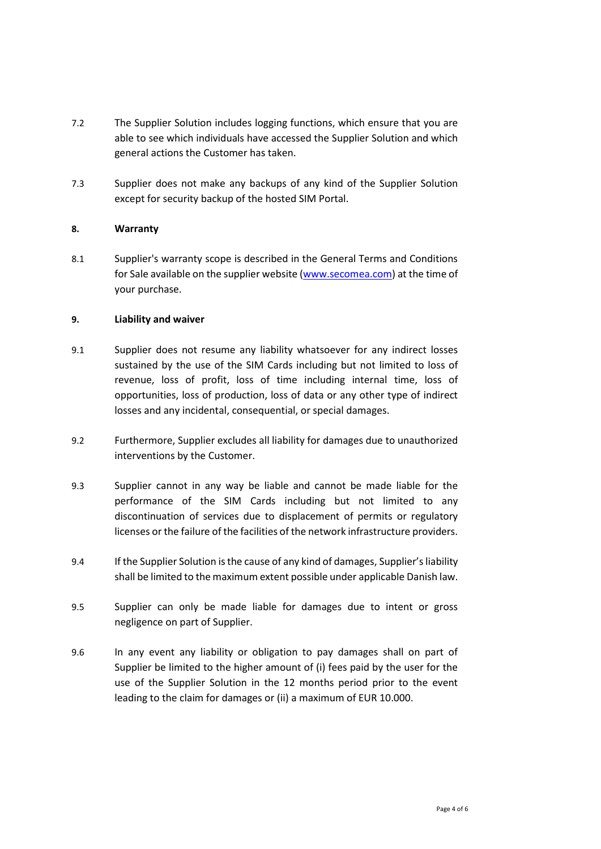- 7.2 The Supplier Solution includes logging functions, which ensure that you are able to see which individuals have accessed the Supplier Solution and which general actions the Customer has taken.
- 7.3 Supplier does not make any backups of any kind of the Supplier Solution except for security backup of the hosted SIM Portal.

# **8. Warranty**

8.1 Supplier's warranty scope is described in the General Terms and Conditions for Sale available on the supplier website [\(www.secomea.com\)](http://www.secomea.com/) at the time of your purchase.

## **9. Liability and waiver**

- 9.1 Supplier does not resume any liability whatsoever for any indirect losses sustained by the use of the SIM Cards including but not limited to loss of revenue, loss of profit, loss of time including internal time, loss of opportunities, loss of production, loss of data or any other type of indirect losses and any incidental, consequential, or special damages.
- 9.2 Furthermore, Supplier excludes all liability for damages due to unauthorized interventions by the Customer.
- 9.3 Supplier cannot in any way be liable and cannot be made liable for the performance of the SIM Cards including but not limited to any discontinuation of services due to displacement of permits or regulatory licenses or the failure of the facilities of the network infrastructure providers.
- 9.4 If the Supplier Solution isthe cause of any kind of damages, Supplier's liability shall be limited to the maximum extent possible under applicable Danish law.
- 9.5 Supplier can only be made liable for damages due to intent or gross negligence on part of Supplier.
- 9.6 In any event any liability or obligation to pay damages shall on part of Supplier be limited to the higher amount of (i) fees paid by the user for the use of the Supplier Solution in the 12 months period prior to the event leading to the claim for damages or (ii) a maximum of EUR 10.000.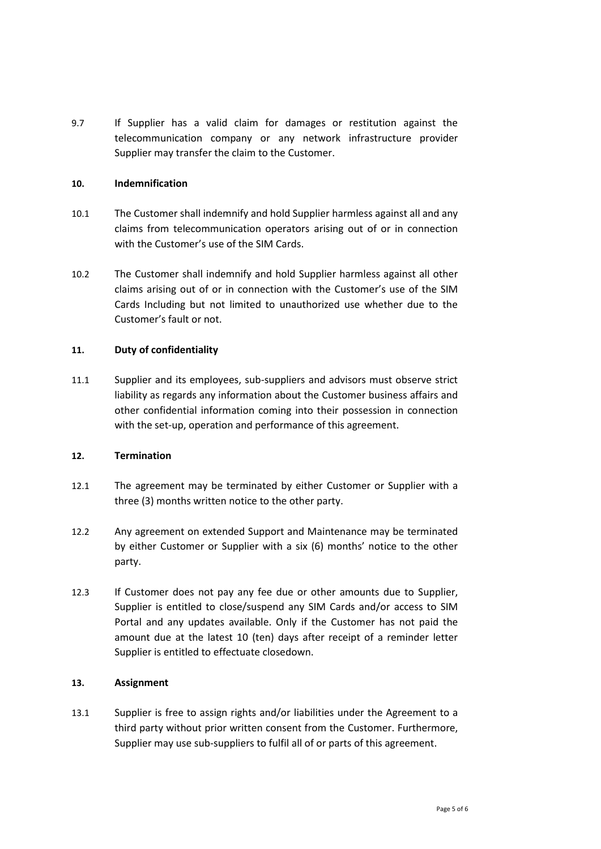9.7 If Supplier has a valid claim for damages or restitution against the telecommunication company or any network infrastructure provider Supplier may transfer the claim to the Customer.

### **10. Indemnification**

- 10.1 The Customer shall indemnify and hold Supplier harmless against all and any claims from telecommunication operators arising out of or in connection with the Customer's use of the SIM Cards.
- 10.2 The Customer shall indemnify and hold Supplier harmless against all other claims arising out of or in connection with the Customer's use of the SIM Cards Including but not limited to unauthorized use whether due to the Customer's fault or not.

## **11. Duty of confidentiality**

11.1 Supplier and its employees, sub-suppliers and advisors must observe strict liability as regards any information about the Customer business affairs and other confidential information coming into their possession in connection with the set-up, operation and performance of this agreement.

## **12. Termination**

- 12.1 The agreement may be terminated by either Customer or Supplier with a three (3) months written notice to the other party.
- 12.2 Any agreement on extended Support and Maintenance may be terminated by either Customer or Supplier with a six (6) months' notice to the other party.
- 12.3 If Customer does not pay any fee due or other amounts due to Supplier, Supplier is entitled to close/suspend any SIM Cards and/or access to SIM Portal and any updates available. Only if the Customer has not paid the amount due at the latest 10 (ten) days after receipt of a reminder letter Supplier is entitled to effectuate closedown.

## **13. Assignment**

13.1 Supplier is free to assign rights and/or liabilities under the Agreement to a third party without prior written consent from the Customer. Furthermore, Supplier may use sub-suppliers to fulfil all of or parts of this agreement.